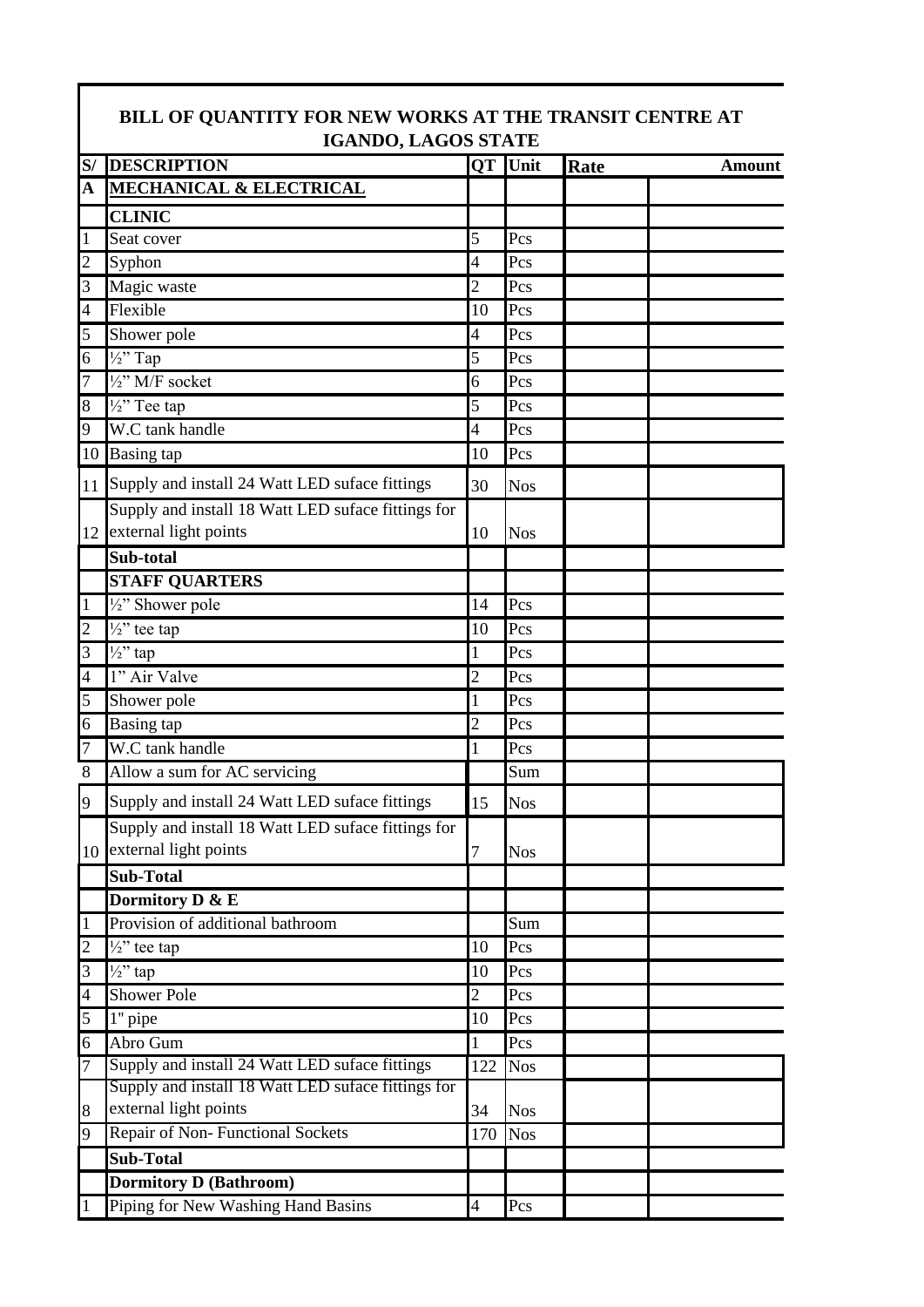|                | <b>IGANDO, LAGOS STATE</b>                                                     |                          |                         |      |               |  |
|----------------|--------------------------------------------------------------------------------|--------------------------|-------------------------|------|---------------|--|
| S/             | <b>DESCRIPTION</b>                                                             |                          | QT Unit                 | Rate | <b>Amount</b> |  |
| A              | <b>MECHANICAL &amp; ELECTRICAL</b>                                             |                          |                         |      |               |  |
|                | <b>CLINIC</b>                                                                  |                          |                         |      |               |  |
| $\mathbf{1}$   | Seat cover                                                                     | 5                        | Pcs                     |      |               |  |
| $\overline{c}$ | Syphon                                                                         | 4                        | Pcs                     |      |               |  |
| 3              | Magic waste                                                                    | $\overline{c}$           | Pcs                     |      |               |  |
| 4              | Flexible                                                                       | 10                       | Pcs                     |      |               |  |
| 5              | Shower pole                                                                    | 4                        | Pcs                     |      |               |  |
| 6              | $\frac{1}{2}$ " Tap                                                            | 5                        | Pcs                     |      |               |  |
| 7              | $\frac{1}{2}$ " M/F socket                                                     | 6                        | Pcs                     |      |               |  |
| 8              | $\sqrt{2}$ <sup>y</sup> Tee tap                                                | 5                        | Pcs                     |      |               |  |
| 9              | W.C tank handle                                                                | 4                        | Pcs                     |      |               |  |
|                | 10 Basing tap                                                                  | 10                       | Pcs                     |      |               |  |
|                | 11 Supply and install 24 Watt LED suface fittings                              | 30                       | <b>Nos</b>              |      |               |  |
| 12             | Supply and install 18 Watt LED suface fittings for<br>external light points    | 10                       | <b>Nos</b>              |      |               |  |
|                | Sub-total                                                                      |                          |                         |      |               |  |
|                | <b>STAFF QUARTERS</b>                                                          |                          |                         |      |               |  |
| $\mathbf{1}$   | 1/2" Shower pole                                                               | 14                       | Pcs                     |      |               |  |
| $\overline{c}$ | $\frac{1}{2}$ " tee tap                                                        | 10                       | Pcs                     |      |               |  |
| 3              | $\frac{1}{2}$ " tap                                                            | 1                        | Pcs                     |      |               |  |
| 4              | 1" Air Valve                                                                   | $\overline{c}$           | Pcs                     |      |               |  |
| 5              | Shower pole                                                                    | 1                        | Pcs                     |      |               |  |
| 6              | <b>Basing</b> tap                                                              | $\overline{2}$           | $\overline{\text{Pcs}}$ |      |               |  |
| 7              | W.C tank handle                                                                | 1                        | Pcs                     |      |               |  |
| 8              | Allow a sum for AC servicing                                                   |                          | Sum                     |      |               |  |
| 9              | Supply and install 24 Watt LED suface fittings                                 | 15                       | Nos                     |      |               |  |
|                | Supply and install 18 Watt LED suface fittings for<br>10 external light points | 7                        | <b>Nos</b>              |      |               |  |
|                | Sub-Total                                                                      |                          |                         |      |               |  |
|                | Dormitory D & E                                                                |                          |                         |      |               |  |
| $\mathbf{1}$   | Provision of additional bathroom                                               |                          | Sum                     |      |               |  |
| $\overline{c}$ | $\frac{1}{2}$ " tee tap                                                        | 10                       | Pcs                     |      |               |  |
| 3              | $\frac{1}{2}$ " tap                                                            | 10                       | Pcs                     |      |               |  |
| 4              | <b>Shower Pole</b>                                                             | 2                        | Pcs                     |      |               |  |
| 5              | 1" pipe                                                                        | 10                       | Pcs                     |      |               |  |
| 6              | Abro Gum                                                                       | 1                        | Pcs                     |      |               |  |
| 7              | Supply and install 24 Watt LED suface fittings                                 | 122                      | <b>Nos</b>              |      |               |  |
|                | Supply and install 18 Watt LED suface fittings for                             |                          |                         |      |               |  |
| 8              | external light points                                                          | 34                       | <b>Nos</b>              |      |               |  |
| 9              | Repair of Non-Functional Sockets                                               | 170                      | <b>Nos</b>              |      |               |  |
|                | <b>Sub-Total</b>                                                               |                          |                         |      |               |  |
|                | <b>Dormitory D (Bathroom)</b>                                                  |                          |                         |      |               |  |
| $\mathbf{1}$   | Piping for New Washing Hand Basins                                             | $\overline{\mathcal{L}}$ | Pcs                     |      |               |  |

## **BILL OF QUANTITY FOR NEW WORKS AT THE TRANSIT CENTRE AT**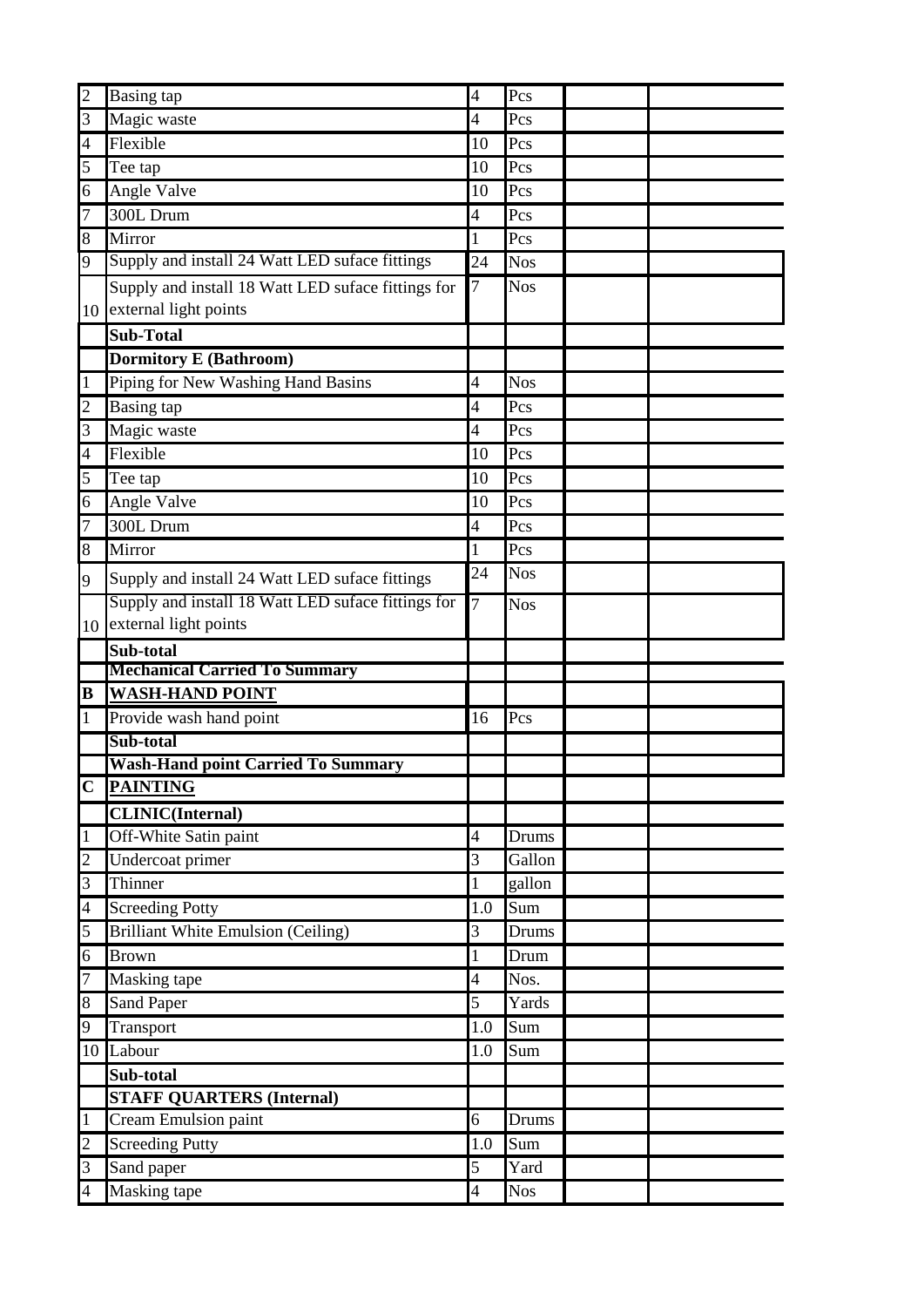| $\overline{c}$ | <b>Basing tap</b>                                  | 4              | Pcs                |  |
|----------------|----------------------------------------------------|----------------|--------------------|--|
| $\overline{3}$ | Magic waste                                        | 4              | Pcs                |  |
| $\overline{4}$ | Flexible                                           | 10             | Pcs                |  |
| 5              | Tee tap                                            | 10             | Pcs                |  |
| 6              | Angle Valve                                        | 10             | Pcs                |  |
| $\overline{7}$ | 300L Drum                                          | $\overline{4}$ | Pcs                |  |
| 8              | Mirror                                             | 1              | Pcs                |  |
| 9              | Supply and install 24 Watt LED suface fittings     | 24             | <b>Nos</b>         |  |
|                | Supply and install 18 Watt LED suface fittings for | 7              | <b>Nos</b>         |  |
|                | 10 external light points                           |                |                    |  |
|                | <b>Sub-Total</b>                                   |                |                    |  |
|                | <b>Dormitory E (Bathroom)</b>                      |                |                    |  |
| $\overline{1}$ | Piping for New Washing Hand Basins                 | 4              | <b>Nos</b>         |  |
| $\overline{c}$ | <b>Basing tap</b>                                  | 4              | Pcs                |  |
| 3              | Magic waste                                        | 4              | Pcs                |  |
| $\overline{4}$ | Flexible                                           | 10             | Pcs                |  |
| 5              | Tee tap                                            | 10             | Pcs                |  |
| 6              | Angle Valve                                        | 10             | Pcs                |  |
| $\overline{7}$ | 300L Drum                                          | 4              | Pcs                |  |
| 8              | Mirror                                             | 1              | Pcs                |  |
| 9              | Supply and install 24 Watt LED suface fittings     | 24             | <b>Nos</b>         |  |
|                | Supply and install 18 Watt LED suface fittings for | 7              | <b>Nos</b>         |  |
|                | 10 external light points                           |                |                    |  |
|                | Sub-total                                          |                |                    |  |
|                | <b>Mechanical Carried To Summary</b>               |                |                    |  |
| $\bf{B}$       | <b>WASH-HAND POINT</b>                             |                |                    |  |
| $\mathbf{1}$   | Provide wash hand point                            | 16             | Pcs                |  |
|                | Sub-total                                          |                |                    |  |
|                | <b>Wash-Hand point Carried To Summary</b>          |                |                    |  |
|                | C PAINTING                                         |                |                    |  |
|                | <b>CLINIC(Internal)</b>                            |                |                    |  |
|                |                                                    |                |                    |  |
| $\mathbf{1}$   | Off-White Satin paint                              | 4              | Drums              |  |
| $\overline{c}$ | Undercoat primer                                   | 3              | Gallon             |  |
| $\overline{3}$ | Thinner                                            | 1              | gallon             |  |
| $\overline{4}$ | <b>Screeding Potty</b>                             | 1.0            | Sum                |  |
| 5              | <b>Brilliant White Emulsion (Ceiling)</b>          | 3              | Drums              |  |
| 6              | <b>Brown</b>                                       | 1              | Drum               |  |
| $\overline{7}$ | Masking tape                                       | 4              | Nos.               |  |
| 8              | <b>Sand Paper</b>                                  | 5              | Yards              |  |
| 9              | Transport                                          | 1.0            | Sum                |  |
|                | 10 Labour                                          | 1.0            | Sum                |  |
|                | Sub-total                                          |                |                    |  |
|                | <b>STAFF QUARTERS (Internal)</b>                   |                |                    |  |
| $\mathbf{1}$   | Cream Emulsion paint                               | 6              | Drums              |  |
| $\overline{c}$ | <b>Screeding Putty</b>                             | 1.0            | Sum                |  |
| 3              | Sand paper<br>Masking tape                         | 5              | Yard<br><b>Nos</b> |  |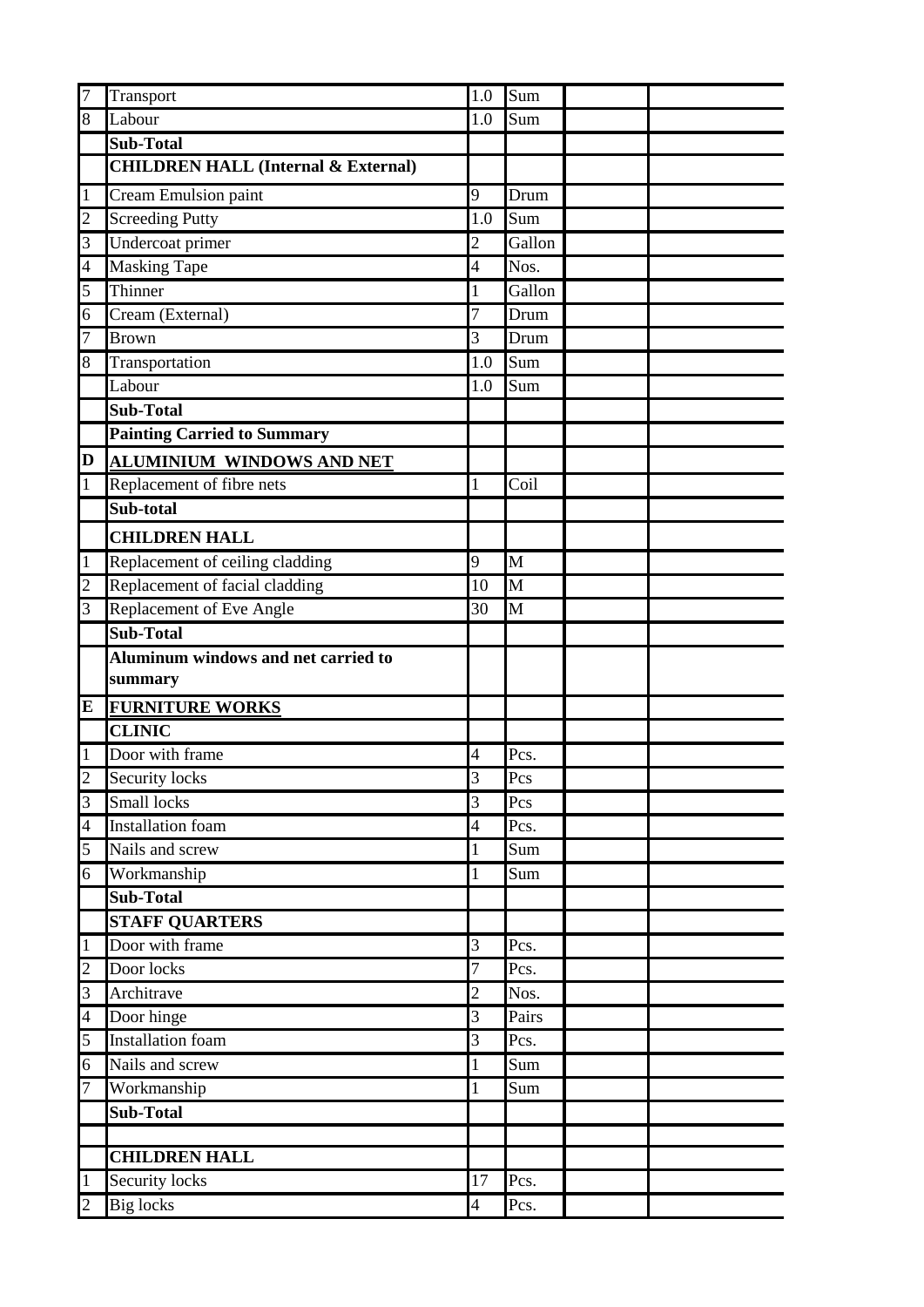| $\overline{7}$                 | Transport                                      | 1.0                            | Sum                       |
|--------------------------------|------------------------------------------------|--------------------------------|---------------------------|
| 8                              | Labour                                         | 1.0                            | Sum                       |
|                                | <b>Sub-Total</b>                               |                                |                           |
|                                | <b>CHILDREN HALL (Internal &amp; External)</b> |                                |                           |
| $\mathbf{1}$                   | <b>Cream Emulsion paint</b>                    | 9                              | Drum                      |
| $\overline{c}$                 | Screeding Putty                                | 1.0                            | Sum                       |
| $\overline{3}$                 | Undercoat primer                               | $\overline{c}$                 | Gallon                    |
| $\overline{4}$                 | <b>Masking Tape</b>                            | 4                              | Nos.                      |
| 5                              | Thinner                                        | 1                              | Gallon                    |
| 6                              | Cream (External)                               | 7                              | Drum                      |
| 7                              | <b>Brown</b>                                   | 3                              | Drum                      |
| 8                              | Transportation                                 | 1.0                            | Sum                       |
|                                | Labour                                         | 1.0                            | Sum                       |
|                                | <b>Sub-Total</b>                               |                                |                           |
|                                | <b>Painting Carried to Summary</b>             |                                |                           |
| D                              | <b>ALUMINIUM WINDOWS AND NET</b>               |                                |                           |
| $\mathbf{1}$                   | Replacement of fibre nets                      | 1                              | Coil                      |
|                                | Sub-total                                      |                                |                           |
|                                | <b>CHILDREN HALL</b>                           |                                |                           |
| $\mathbf{1}$                   | Replacement of ceiling cladding                | 9                              | $\overline{\rm M}$        |
| $\overline{2}$                 | Replacement of facial cladding                 | 10                             | $\overline{\mathbf{M}}$   |
| $\overline{3}$                 | Replacement of Eve Angle                       | 30                             | $\overline{\mathrm{M}}$   |
|                                | Sub-Total                                      |                                |                           |
|                                | Aluminum windows and net carried to            |                                |                           |
|                                | summary                                        |                                |                           |
| E                              | <b>FURNITURE WORKS</b>                         |                                |                           |
|                                | <b>CLINIC</b>                                  |                                |                           |
| $\,1$                          | Door with frame                                | 4                              | Pcs.                      |
| $\overline{\mathcal{L}}$       | Security locks                                 | $\overline{3}$                 | Pcs                       |
| $\overline{3}$                 | Small locks                                    | $\overline{3}$                 | $\overline{Pcs}$          |
| $\overline{4}$                 | <b>Installation</b> foam                       | $\overline{4}$                 | Pcs.                      |
| 5                              | Nails and screw                                | 1                              | Sum                       |
| $\overline{6}$                 | Workmanship                                    | 1                              | Sum                       |
|                                | Sub-Total                                      |                                |                           |
|                                | <b>STAFF QUARTERS</b>                          |                                |                           |
| $\mathbf{1}$                   | Door with frame                                | 3                              | Pcs.                      |
| $\overline{c}$                 | Door locks                                     | 7                              | Pcs.                      |
| $\overline{3}$                 | Architrave                                     | $\overline{\mathbf{c}}$        | Nos.                      |
| $\overline{4}$                 | Door hinge                                     | 3                              | Pairs                     |
| $\overline{5}$                 | <b>Installation</b> foam                       | 3                              | $\overline{\text{Pcs}}$ . |
| 6                              | Nails and screw                                | 1                              | Sum                       |
| 7                              | Workmanship                                    |                                | Sum                       |
|                                | <b>Sub-Total</b>                               |                                |                           |
|                                |                                                |                                |                           |
|                                | <b>CHILDREN HALL</b>                           |                                |                           |
|                                |                                                |                                |                           |
| $\mathbf{1}$<br>$\overline{c}$ | <b>Security locks</b><br><b>Big locks</b>      | 17<br>$\overline{\mathcal{A}}$ | Pcs.<br>Pcs.              |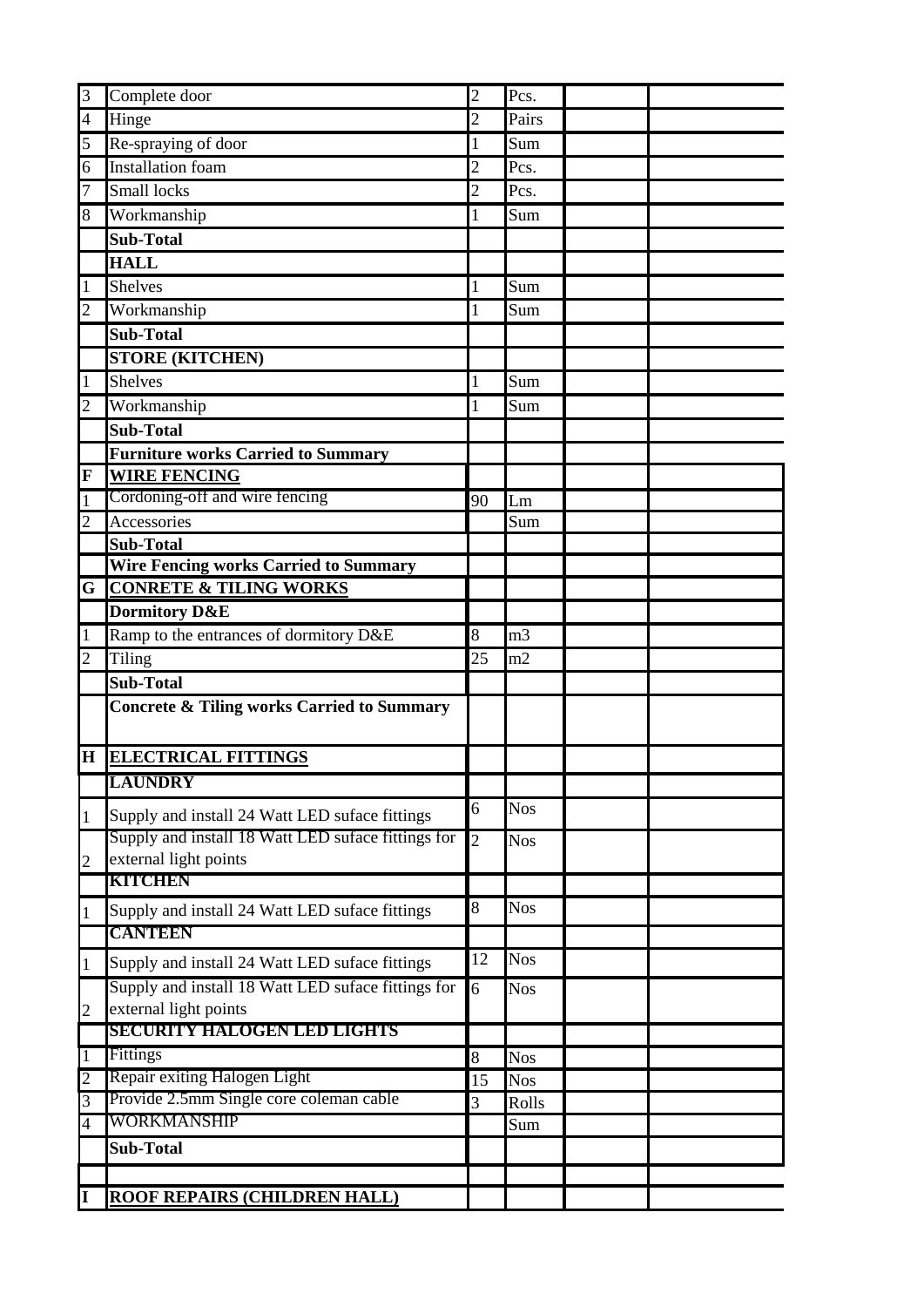| 3                   | Complete door                                               | $\overline{c}$ | Pcs.                |  |
|---------------------|-------------------------------------------------------------|----------------|---------------------|--|
| $\overline{4}$      | Hinge                                                       | $\overline{c}$ | Pairs               |  |
| 5                   | Re-spraying of door                                         | 1              | Sum                 |  |
| $\overline{6}$      | <b>Installation</b> foam                                    | $\overline{c}$ | Pcs.                |  |
| $\overline{7}$      | Small locks                                                 | $\overline{c}$ | Pcs.                |  |
| 8                   | Workmanship                                                 | 1              | Sum                 |  |
|                     | <b>Sub-Total</b>                                            |                |                     |  |
|                     | <b>HALL</b>                                                 |                |                     |  |
| $\mathbf{1}$        | <b>Shelves</b>                                              | 1              | Sum                 |  |
| $\overline{c}$      | Workmanship                                                 | 1              | Sum                 |  |
|                     | <b>Sub-Total</b>                                            |                |                     |  |
|                     | <b>STORE (KITCHEN)</b>                                      |                |                     |  |
| $\mathbf{1}$        | <b>Shelves</b>                                              | 1              | Sum                 |  |
| $\overline{c}$      | Workmanship                                                 | 1              | Sum                 |  |
|                     | <b>Sub-Total</b>                                            |                |                     |  |
|                     | <b>Furniture works Carried to Summary</b>                   |                |                     |  |
| F                   | <b>WIRE FENCING</b>                                         |                |                     |  |
| $\mathbf{1}$        | Cordoning-off and wire fencing                              | 90             | Lm                  |  |
| $\overline{c}$      | Accessories                                                 |                | Sum                 |  |
|                     | <b>Sub-Total</b>                                            |                |                     |  |
|                     | <b>Wire Fencing works Carried to Summary</b>                |                |                     |  |
| G                   | <b>CONRETE &amp; TILING WORKS</b>                           |                |                     |  |
|                     | <b>Dormitory D&amp;E</b>                                    |                |                     |  |
| $\mathbf{1}$        | Ramp to the entrances of dormitory D&E                      | 8              | m <sub>3</sub>      |  |
| $\overline{2}$      | Tiling                                                      | 25             | m2                  |  |
|                     | <b>Sub-Total</b>                                            |                |                     |  |
|                     | <b>Concrete &amp; Tiling works Carried to Summary</b>       |                |                     |  |
|                     | <b>H ELECTRICAL FITTINGS</b>                                |                |                     |  |
|                     | <b>LAUNDRY</b>                                              |                |                     |  |
| 1                   | Supply and install 24 Watt LED suface fittings              | 6              | <b>Nos</b>          |  |
|                     | Supply and install 18 Watt LED suface fittings for          | $\overline{c}$ | <b>Nos</b>          |  |
| $\overline{c}$      | external light points                                       |                |                     |  |
|                     | KITCHEN                                                     |                |                     |  |
| $\mathbf{1}$        | Supply and install 24 Watt LED suface fittings              | 8              | <b>Nos</b>          |  |
|                     | <b>CANTIERN</b>                                             |                |                     |  |
| 1                   | Supply and install 24 Watt LED suface fittings              | 12             | <b>Nos</b>          |  |
|                     | Supply and install 18 Watt LED suface fittings for          | 6              | <b>Nos</b>          |  |
| $\overline{2}$      | external light points<br><b>SECURITY HALOGEN LED LIGHTS</b> |                |                     |  |
|                     | Fittings                                                    |                |                     |  |
| 1<br>$\overline{2}$ | Repair exiting Halogen Light                                | 8<br>15        | <b>Nos</b>          |  |
| 3                   | Provide 2.5mm Single core coleman cable                     | 3              | <b>Nos</b><br>Rolls |  |
| $\overline{4}$      | WORKMANSHIP                                                 |                | Sum                 |  |
|                     | Sub-Total                                                   |                |                     |  |
|                     |                                                             |                |                     |  |
| I                   | ROOF REPAIRS (CHILDREN HALL)                                |                |                     |  |